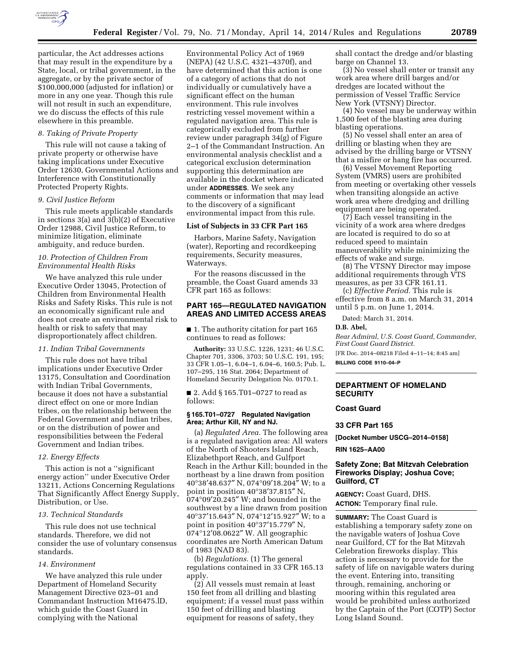

particular, the Act addresses actions that may result in the expenditure by a State, local, or tribal government, in the aggregate, or by the private sector of \$100,000,000 (adjusted for inflation) or more in any one year. Though this rule will not result in such an expenditure, we do discuss the effects of this rule elsewhere in this preamble.

# *8. Taking of Private Property*

This rule will not cause a taking of private property or otherwise have taking implications under Executive Order 12630, Governmental Actions and Interference with Constitutionally Protected Property Rights.

### *9. Civil Justice Reform*

This rule meets applicable standards in sections 3(a) and 3(b)(2) of Executive Order 12988, Civil Justice Reform, to minimize litigation, eliminate ambiguity, and reduce burden.

## *10. Protection of Children From Environmental Health Risks*

We have analyzed this rule under Executive Order 13045, Protection of Children from Environmental Health Risks and Safety Risks. This rule is not an economically significant rule and does not create an environmental risk to health or risk to safety that may disproportionately affect children.

# *11. Indian Tribal Governments*

This rule does not have tribal implications under Executive Order 13175, Consultation and Coordination with Indian Tribal Governments, because it does not have a substantial direct effect on one or more Indian tribes, on the relationship between the Federal Government and Indian tribes, or on the distribution of power and responsibilities between the Federal Government and Indian tribes.

### *12. Energy Effects*

This action is not a ''significant energy action'' under Executive Order 13211, Actions Concerning Regulations That Significantly Affect Energy Supply, Distribution, or Use.

#### *13. Technical Standards*

This rule does not use technical standards. Therefore, we did not consider the use of voluntary consensus standards.

#### *14. Environment*

We have analyzed this rule under Department of Homeland Security Management Directive 023–01 and Commandant Instruction M16475.lD, which guide the Coast Guard in complying with the National

Environmental Policy Act of 1969 (NEPA) (42 U.S.C. 4321–4370f), and have determined that this action is one of a category of actions that do not individually or cumulatively have a significant effect on the human environment. This rule involves restricting vessel movement within a regulated navigation area. This rule is categorically excluded from further review under paragraph 34(g) of Figure 2–1 of the Commandant Instruction. An environmental analysis checklist and a categorical exclusion determination supporting this determination are available in the docket where indicated under **ADDRESSES**. We seek any comments or information that may lead to the discovery of a significant environmental impact from this rule.

## **List of Subjects in 33 CFR Part 165**

Harbors, Marine Safety, Navigation (water), Reporting and recordkeeping requirements, Security measures, Waterways.

For the reasons discussed in the preamble, the Coast Guard amends 33 CFR part 165 as follows:

# **PART 165—REGULATED NAVIGATION AREAS AND LIMITED ACCESS AREAS**

■ 1. The authority citation for part 165 continues to read as follows:

**Authority:** 33 U.S.C. 1226, 1231; 46 U.S.C. Chapter 701, 3306, 3703; 50 U.S.C. 191, 195; 33 CFR 1.05–1, 6.04–1, 6.04–6, 160.5; Pub. L. 107–295, 116 Stat. 2064; Department of Homeland Security Delegation No. 0170.1.

■ 2. Add § 165.T01–0727 to read as follows:

#### **§ 165.T01–0727 Regulated Navigation Area; Arthur Kill, NY and NJ.**

(a) *Regulated Area.* The following area is a regulated navigation area: All waters of the North of Shooters Island Reach, Elizabethport Reach, and Gulfport Reach in the Arthur Kill; bounded in the northeast by a line drawn from position 40°38′48.637″ N, 074°09′18.204″ W; to a point in position 40°38′37.815″ N,  $074^{\circ}09'20.245''$  W; and bounded in the southwest by a line drawn from position 40°37′15.643″ N, 074°12′15.927″ W; to a point in position 40°37′15.779″ N, 074°12′08.0622″ W. All geographic coordinates are North American Datum of 1983 (NAD 83).

(b) *Regulations.* (1) The general regulations contained in 33 CFR 165.13 apply.

(2) All vessels must remain at least 150 feet from all drilling and blasting equipment; if a vessel must pass within 150 feet of drilling and blasting equipment for reasons of safety, they

shall contact the dredge and/or blasting barge on Channel 13.

(3) No vessel shall enter or transit any work area where drill barges and/or dredges are located without the permission of Vessel Traffic Service New York (VTSNY) Director.

(4) No vessel may be underway within 1,500 feet of the blasting area during blasting operations.

(5) No vessel shall enter an area of drilling or blasting when they are advised by the drilling barge or VTSNY that a misfire or hang fire has occurred.

(6) Vessel Movement Reporting System (VMRS) users are prohibited from meeting or overtaking other vessels when transiting alongside an active work area where dredging and drilling equipment are being operated.

(7) Each vessel transiting in the vicinity of a work area where dredges are located is required to do so at reduced speed to maintain maneuverability while minimizing the effects of wake and surge.

(8) The VTSNY Director may impose additional requirements through VTS measures, as per 33 CFR 161.11.

(c) *Effective Period.* This rule is effective from 8 a.m. on March 31, 2014 until 5 p.m. on June 1, 2014.

Dated: March 31, 2014.

#### **D.B. Abel,**

*Rear Admiral, U.S. Coast Guard, Commander, First Coast Guard District.*  [FR Doc. 2014–08218 Filed 4–11–14; 8:45 am]

**BILLING CODE 9110–04–P** 

## **DEPARTMENT OF HOMELAND SECURITY**

### **Coast Guard**

# **33 CFR Part 165**

**[Docket Number USCG–2014–0158]** 

#### **RIN 1625–AA00**

## **Safety Zone; Bat Mitzvah Celebration Fireworks Display; Joshua Cove; Guilford, CT**

**AGENCY:** Coast Guard, DHS. **ACTION:** Temporary final rule.

**SUMMARY:** The Coast Guard is establishing a temporary safety zone on the navigable waters of Joshua Cove near Guilford, CT for the Bat Mitzvah Celebration fireworks display. This action is necessary to provide for the safety of life on navigable waters during the event. Entering into, transiting through, remaining, anchoring or mooring within this regulated area would be prohibited unless authorized by the Captain of the Port (COTP) Sector Long Island Sound.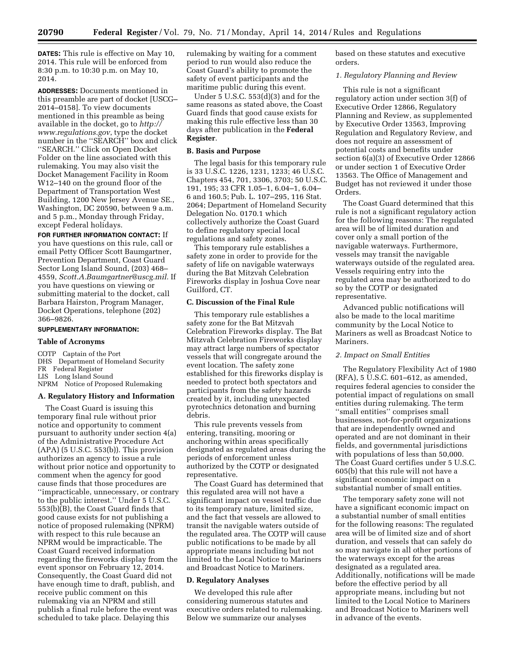**DATES:** This rule is effective on May 10, 2014. This rule will be enforced from 8:30 p.m. to 10:30 p.m. on May 10, 2014.

**ADDRESSES:** Documents mentioned in this preamble are part of docket [USCG– 2014–0158]. To view documents mentioned in this preamble as being available in the docket, go to *[http://](http://www.regulations.gov) [www.regulations.gov](http://www.regulations.gov)*, type the docket number in the ''SEARCH'' box and click ''SEARCH.'' Click on Open Docket Folder on the line associated with this rulemaking. You may also visit the Docket Management Facility in Room W12–140 on the ground floor of the Department of Transportation West Building, 1200 New Jersey Avenue SE., Washington, DC 20590, between 9 a.m. and 5 p.m., Monday through Friday, except Federal holidays.

**FOR FURTHER INFORMATION CONTACT:** If you have questions on this rule, call or email Petty Officer Scott Baumgartner, Prevention Department, Coast Guard Sector Long Island Sound, (203) 468– 4559, *[Scott.A.Baumgartner@uscg.mil.](mailto:Scott.A.Baumgartner@uscg.mil)* If you have questions on viewing or submitting material to the docket, call Barbara Hairston, Program Manager, Docket Operations, telephone (202) 366–9826.

## **SUPPLEMENTARY INFORMATION:**

#### **Table of Acronyms**

COTP Captain of the Port DHS Department of Homeland Security FR Federal Register LIS Long Island Sound NPRM Notice of Proposed Rulemaking

### **A. Regulatory History and Information**

The Coast Guard is issuing this temporary final rule without prior notice and opportunity to comment pursuant to authority under section 4(a) of the Administrative Procedure Act  $(APA)$  (5 U.S.C. 553(b)). This provision authorizes an agency to issue a rule without prior notice and opportunity to comment when the agency for good cause finds that those procedures are ''impracticable, unnecessary, or contrary to the public interest.'' Under 5 U.S.C. 553(b)(B), the Coast Guard finds that good cause exists for not publishing a notice of proposed rulemaking (NPRM) with respect to this rule because an NPRM would be impracticable. The Coast Guard received information regarding the fireworks display from the event sponsor on February 12, 2014. Consequently, the Coast Guard did not have enough time to draft, publish, and receive public comment on this rulemaking via an NPRM and still publish a final rule before the event was scheduled to take place. Delaying this

rulemaking by waiting for a comment period to run would also reduce the Coast Guard's ability to promote the safety of event participants and the maritime public during this event.

Under 5 U.S.C. 553(d)(3) and for the same reasons as stated above, the Coast Guard finds that good cause exists for making this rule effective less than 30 days after publication in the **Federal Register**.

#### **B. Basis and Purpose**

The legal basis for this temporary rule is 33 U.S.C. 1226, 1231, 1233; 46 U.S.C. Chapters 454, 701, 3306, 3703; 50 U.S.C. 191, 195; 33 CFR 1.05–1, 6.04–1, 6.04– 6 and 160.5; Pub. L. 107–295, 116 Stat. 2064; Department of Homeland Security Delegation No. 0170.1 which collectively authorize the Coast Guard to define regulatory special local regulations and safety zones.

This temporary rule establishes a safety zone in order to provide for the safety of life on navigable waterways during the Bat Mitzvah Celebration Fireworks display in Joshua Cove near Guilford, CT.

#### **C. Discussion of the Final Rule**

This temporary rule establishes a safety zone for the Bat Mitzvah Celebration Fireworks display. The Bat Mitzvah Celebration Fireworks display may attract large numbers of spectator vessels that will congregate around the event location. The safety zone established for this fireworks display is needed to protect both spectators and participants from the safety hazards created by it, including unexpected pyrotechnics detonation and burning debris.

This rule prevents vessels from entering, transiting, mooring or anchoring within areas specifically designated as regulated areas during the periods of enforcement unless authorized by the COTP or designated representative.

The Coast Guard has determined that this regulated area will not have a significant impact on vessel traffic due to its temporary nature, limited size, and the fact that vessels are allowed to transit the navigable waters outside of the regulated area. The COTP will cause public notifications to be made by all appropriate means including but not limited to the Local Notice to Mariners and Broadcast Notice to Mariners.

### **D. Regulatory Analyses**

We developed this rule after considering numerous statutes and executive orders related to rulemaking. Below we summarize our analyses

based on these statutes and executive orders.

### *1. Regulatory Planning and Review*

This rule is not a significant regulatory action under section 3(f) of Executive Order 12866, Regulatory Planning and Review, as supplemented by Executive Order 13563, Improving Regulation and Regulatory Review, and does not require an assessment of potential costs and benefits under section 6(a)(3) of Executive Order 12866 or under section 1 of Executive Order 13563. The Office of Management and Budget has not reviewed it under those Orders.

The Coast Guard determined that this rule is not a significant regulatory action for the following reasons: The regulated area will be of limited duration and cover only a small portion of the navigable waterways. Furthermore, vessels may transit the navigable waterways outside of the regulated area. Vessels requiring entry into the regulated area may be authorized to do so by the COTP or designated representative.

Advanced public notifications will also be made to the local maritime community by the Local Notice to Mariners as well as Broadcast Notice to **Mariners** 

### *2. Impact on Small Entities*

The Regulatory Flexibility Act of 1980 (RFA), 5 U.S.C. 601–612, as amended, requires federal agencies to consider the potential impact of regulations on small entities during rulemaking. The term ''small entities'' comprises small businesses, not-for-profit organizations that are independently owned and operated and are not dominant in their fields, and governmental jurisdictions with populations of less than 50,000. The Coast Guard certifies under 5 U.S.C. 605(b) that this rule will not have a significant economic impact on a substantial number of small entities.

The temporary safety zone will not have a significant economic impact on a substantial number of small entities for the following reasons: The regulated area will be of limited size and of short duration, and vessels that can safely do so may navigate in all other portions of the waterways except for the areas designated as a regulated area. Additionally, notifications will be made before the effective period by all appropriate means, including but not limited to the Local Notice to Mariners and Broadcast Notice to Mariners well in advance of the events.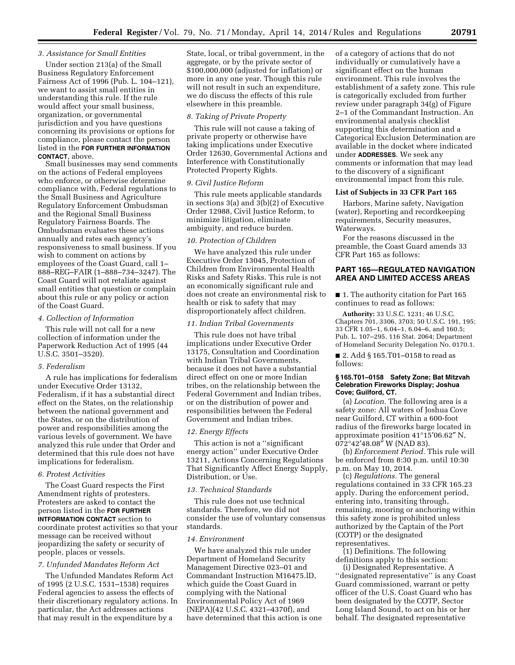### *3. Assistance for Small Entities*

Under section 213(a) of the Small Business Regulatory Enforcement Fairness Act of 1996 (Pub. L. 104–121), we want to assist small entities in understanding this rule. If the rule would affect your small business, organization, or governmental jurisdiction and you have questions concerning its provisions or options for compliance, please contact the person listed in the **FOR FURTHER INFORMATION CONTACT**, above.

Small businesses may send comments on the actions of Federal employees who enforce, or otherwise determine compliance with, Federal regulations to the Small Business and Agriculture Regulatory Enforcement Ombudsman and the Regional Small Business Regulatory Fairness Boards. The Ombudsman evaluates these actions annually and rates each agency's responsiveness to small business. If you wish to comment on actions by employees of the Coast Guard, call 1– 888–REG–FAIR (1–888–734–3247). The Coast Guard will not retaliate against small entities that question or complain about this rule or any policy or action of the Coast Guard.

#### *4. Collection of Information*

This rule will not call for a new collection of information under the Paperwork Reduction Act of 1995 (44 U.S.C. 3501–3520).

### *5. Federalism*

A rule has implications for federalism under Executive Order 13132, Federalism, if it has a substantial direct effect on the States, on the relationship between the national government and the States, or on the distribution of power and responsibilities among the various levels of government. We have analyzed this rule under that Order and determined that this rule does not have implications for federalism.

# *6. Protest Activities*

The Coast Guard respects the First Amendment rights of protesters. Protesters are asked to contact the person listed in the **FOR FURTHER INTFORMATION CONTACT** section to coordinate protest activities so that your message can be received without jeopardizing the safety or security of people, places or vessels.

### *7. Unfunded Mandates Reform Act*

The Unfunded Mandates Reform Act of 1995 (2 U.S.C. 1531–1538) requires Federal agencies to assess the effects of their discretionary regulatory actions. In particular, the Act addresses actions that may result in the expenditure by a

State, local, or tribal government, in the aggregate, or by the private sector of \$100,000,000 (adjusted for inflation) or more in any one year. Though this rule will not result in such an expenditure, we do discuss the effects of this rule elsewhere in this preamble.

### *8. Taking of Private Property*

This rule will not cause a taking of private property or otherwise have taking implications under Executive Order 12630, Governmental Actions and Interference with Constitutionally Protected Property Rights.

#### *9. Civil Justice Reform*

This rule meets applicable standards in sections 3(a) and 3(b)(2) of Executive Order 12988, Civil Justice Reform, to minimize litigation, eliminate ambiguity, and reduce burden.

#### *10. Protection of Children*

We have analyzed this rule under Executive Order 13045, Protection of Children from Environmental Health Risks and Safety Risks. This rule is not an economically significant rule and does not create an environmental risk to health or risk to safety that may disproportionately affect children.

# *11. Indian Tribal Governments*

This rule does not have tribal implications under Executive Order 13175, Consultation and Coordination with Indian Tribal Governments, because it does not have a substantial direct effect on one or more Indian tribes, on the relationship between the Federal Government and Indian tribes, or on the distribution of power and responsibilities between the Federal Government and Indian tribes.

#### *12. Energy Effects*

This action is not a ''significant energy action'' under Executive Order 13211, Actions Concerning Regulations That Significantly Affect Energy Supply, Distribution, or Use.

#### *13. Technical Standards*

This rule does not use technical standards. Therefore, we did not consider the use of voluntary consensus standards.

# *14. Environment*

We have analyzed this rule under Department of Homeland Security Management Directive 023–01 and Commandant Instruction M16475.lD, which guide the Coast Guard in complying with the National Environmental Policy Act of 1969 (NEPA)(42 U.S.C. 4321–4370f), and have determined that this action is one

of a category of actions that do not individually or cumulatively have a significant effect on the human environment. This rule involves the establishment of a safety zone. This rule is categorically excluded from further review under paragraph 34(g) of Figure 2–1 of the Commandant Instruction. An environmental analysis checklist supporting this determination and a Categorical Exclusion Determination are available in the docket where indicated under **ADDRESSES**. We seek any comments or information that may lead to the discovery of a significant environmental impact from this rule.

## **List of Subjects in 33 CFR Part 165**

Harbors, Marine safety, Navigation (water), Reporting and recordkeeping requirements, Security measures, Waterways.

For the reasons discussed in the preamble, the Coast Guard amends 33 CFR Part 165 as follows:

# **PART 165—REGULATED NAVIGATION AREA AND LIMITED ACCESS AREAS**

■ 1. The authority citation for Part 165 continues to read as follows:

**Authority:** 33 U.S.C. 1231; 46 U.S.C. Chapters 701, 3306, 3703; 50 U.S.C. 191, 195; 33 CFR 1.05–1, 6.04–1, 6.04–6, and 160.5; Pub. L. 107–295, 116 Stat. 2064; Department of Homeland Security Delegation No. 0170.1.

■ 2. Add § 165.T01-0158 to read as follows:

### **§ 165.T01–0158 Safety Zone; Bat Mitzvah Celebration Fireworks Display; Joshua Cove; Guilford, CT.**

(a) *Location.* The following area is a safety zone: All waters of Joshua Cove near Guilford, CT within a 600-foot radius of the fireworks barge located in approximate position 41°15′06.62″ N,  $072^{\circ}42'48.08''$  W (NAD 83).

(b) *Enforcement Period.* This rule will be enforced from 8:30 p.m. until 10:30 p.m. on May 10, 2014.

(c) *Regulations.* The general regulations contained in 33 CFR 165.23 apply. During the enforcement period, entering into, transiting through, remaining, mooring or anchoring within this safety zone is prohibited unless authorized by the Captain of the Port (COTP) or the designated representatives.

(1) Definitions. The following definitions apply to this section:

(i) Designated Representative. A ''designated representative'' is any Coast Guard commissioned, warrant or petty officer of the U.S. Coast Guard who has been designated by the COTP, Sector Long Island Sound, to act on his or her behalf. The designated representative